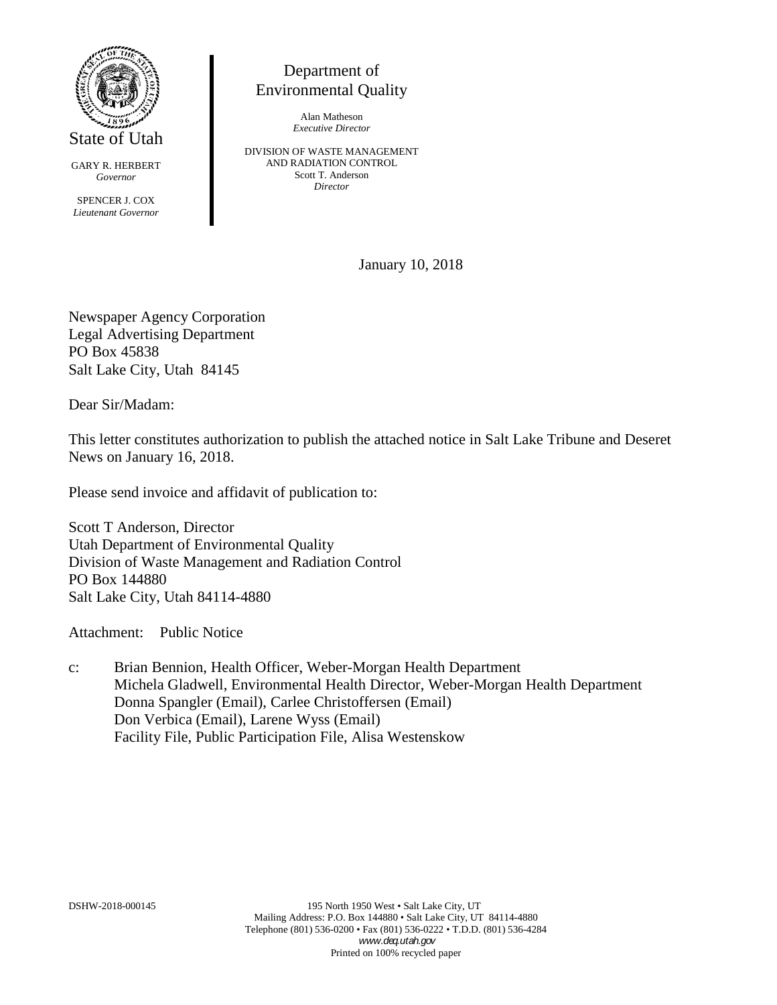

State of Utah

GARY R. HERBERT *Governor*

SPENCER J. COX *Lieutenant Governor*

## Department of Environmental Quality

Alan Matheson *Executive Director*

DIVISION OF WASTE MANAGEMENT AND RADIATION CONTROL Scott T. Anderson *Director*

January 10, 2018

Newspaper Agency Corporation Legal Advertising Department PO Box 45838 Salt Lake City, Utah 84145

Dear Sir/Madam:

This letter constitutes authorization to publish the attached notice in Salt Lake Tribune and Deseret News on January 16, 2018.

Please send invoice and affidavit of publication to:

Scott T Anderson, Director Utah Department of Environmental Quality Division of Waste Management and Radiation Control PO Box 144880 Salt Lake City, Utah 84114-4880

Attachment: Public Notice

c: Brian Bennion, Health Officer, Weber-Morgan Health Department Michela Gladwell, Environmental Health Director, Weber-Morgan Health Department Donna Spangler (Email), Carlee Christoffersen (Email) Don Verbica (Email), Larene Wyss (Email) Facility File, Public Participation File, Alisa Westenskow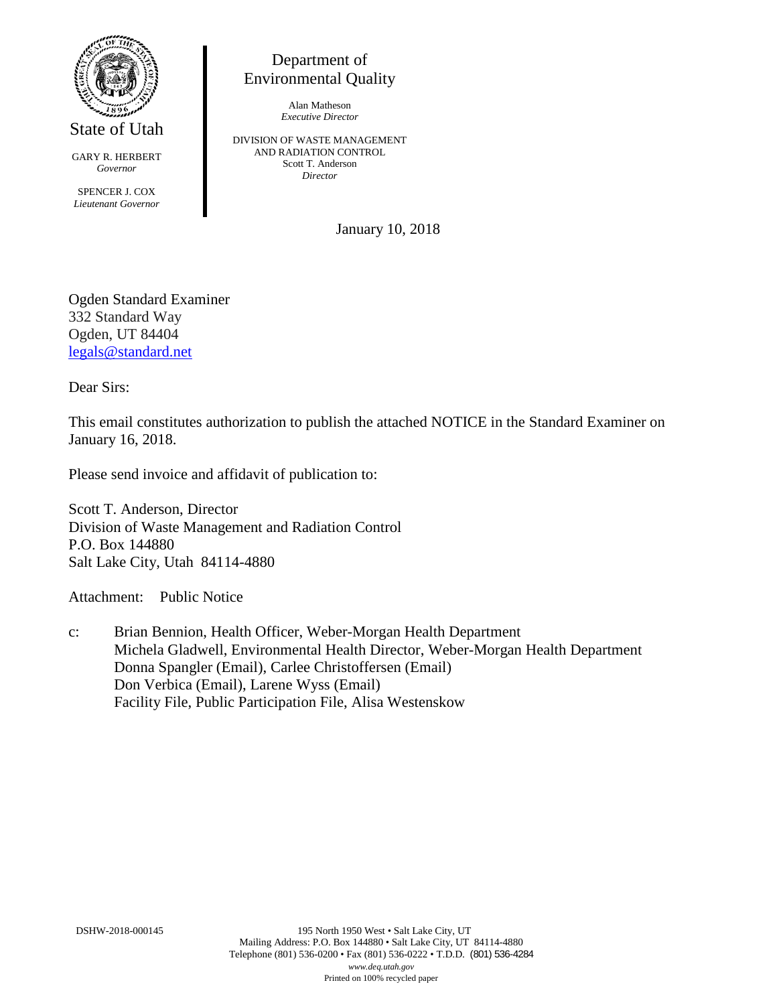

State of Utah

GARY R. HERBERT *Governor* SPENCER J. COX *Lieutenant Governor*

Department of Environmental Quality

> Alan Matheson *Executive Director*

DIVISION OF WASTE MANAGEMENT AND RADIATION CONTROL Scott T. Anderson *Director*

January 10, 2018

Ogden Standard Examiner 332 Standard Way Ogden, UT 84404 [legals@standard.net](mailto:legals@standard.net)

Dear Sirs:

This email constitutes authorization to publish the attached NOTICE in the Standard Examiner on January 16, 2018.

Please send invoice and affidavit of publication to:

Scott T. Anderson, Director Division of Waste Management and Radiation Control P.O. Box 144880 Salt Lake City, Utah 84114-4880

Attachment: Public Notice

c: Brian Bennion, Health Officer, Weber-Morgan Health Department Michela Gladwell, Environmental Health Director, Weber-Morgan Health Department Donna Spangler (Email), Carlee Christoffersen (Email) Don Verbica (Email), Larene Wyss (Email) Facility File, Public Participation File, Alisa Westenskow